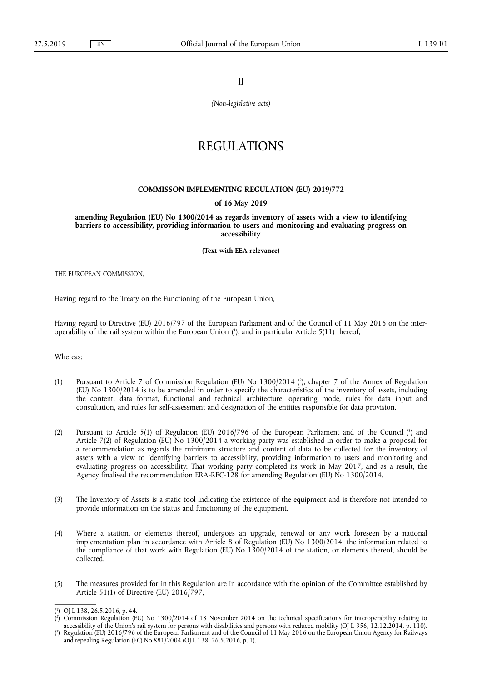II

*(Non-legislative acts)* 

# REGULATIONS

# **COMMISSON IMPLEMENTING REGULATION (EU) 2019/772**

# **of 16 May 2019**

**amending Regulation (EU) No 1300/2014 as regards inventory of assets with a view to identifying barriers to accessibility, providing information to users and monitoring and evaluating progress on accessibility** 

**(Text with EEA relevance)** 

THE EUROPEAN COMMISSION,

Having regard to the Treaty on the Functioning of the European Union,

Having regard to Directive (EU) 2016/797 of the European Parliament and of the Council of 11 May 2016 on the interoperability of the rail system within the European Union ( 1 ), and in particular Article 5(11) thereof,

Whereas:

- (1) Pursuant to Article 7 of Commission Regulation (EU) No 1300/2014 ( 2 ), chapter 7 of the Annex of Regulation (EU) No 1300/2014 is to be amended in order to specify the characteristics of the inventory of assets, including the content, data format, functional and technical architecture, operating mode, rules for data input and consultation, and rules for self-assessment and designation of the entities responsible for data provision.
- (2) Pursuant to Article 5(1) of Regulation (EU) 2016/796 of the European Parliament and of the Council (<sup>3</sup>) and Article 7(2) of Regulation (EU) No 1300/2014 a working party was established in order to make a proposal for a recommendation as regards the minimum structure and content of data to be collected for the inventory of assets with a view to identifying barriers to accessibility, providing information to users and monitoring and evaluating progress on accessibility. That working party completed its work in May 2017, and as a result, the Agency finalised the recommendation ERA-REC-128 for amending Regulation (EU) No 1300/2014.
- (3) The Inventory of Assets is a static tool indicating the existence of the equipment and is therefore not intended to provide information on the status and functioning of the equipment.
- (4) Where a station, or elements thereof, undergoes an upgrade, renewal or any work foreseen by a national implementation plan in accordance with Article 8 of Regulation (EU) No 1300/2014, the information related to the compliance of that work with Regulation (EU) No 1300/2014 of the station, or elements thereof, should be collected.
- (5) The measures provided for in this Regulation are in accordance with the opinion of the Committee established by Article 51(1) of Directive (EU) 2016/797,

<sup>(</sup> 1 ) OJ L 138, 26.5.2016, p. 44.

<sup>(</sup> 2 ) Commission Regulation (EU) No 1300/2014 of 18 November 2014 on the technical specifications for interoperability relating to accessibility of the Union's rail system for persons with disabilities and persons with reduced mobility (OJ L 356, 12.12.2014, p. 110).

<sup>(</sup> 3 ) Regulation (EU) 2016/796 of the European Parliament and of the Council of 11 May 2016 on the European Union Agency for Railways and repealing Regulation (EC) No 881/2004 (OJ L 138, 26.5.2016, p. 1).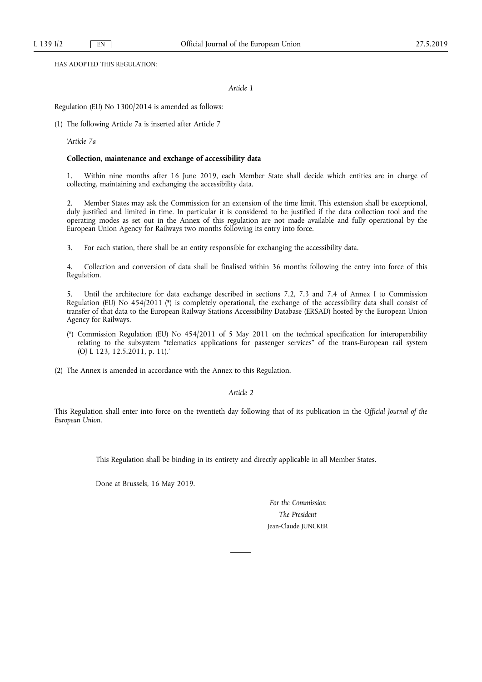HAS ADOPTED THIS REGULATION:

*Article 1* 

Regulation (EU) No 1300/2014 is amended as follows:

(1) The following Article 7a is inserted after Article 7

'*Article 7a* 

#### **Collection, maintenance and exchange of accessibility data**

1. Within nine months after 16 June 2019, each Member State shall decide which entities are in charge of collecting, maintaining and exchanging the accessibility data.

2. Member States may ask the Commission for an extension of the time limit. This extension shall be exceptional, duly justified and limited in time. In particular it is considered to be justified if the data collection tool and the operating modes as set out in the Annex of this regulation are not made available and fully operational by the European Union Agency for Railways two months following its entry into force.

3. For each station, there shall be an entity responsible for exchanging the accessibility data.

4. Collection and conversion of data shall be finalised within 36 months following the entry into force of this Regulation.

5. Until the architecture for data exchange described in sections 7.2, 7.3 and 7.4 of Annex I to Commission Regulation (EU) No 454/2011 (\*) is completely operational, the exchange of the accessibility data shall consist of transfer of that data to the European Railway Stations Accessibility Database (ERSAD) hosted by the European Union Agency for Railways.

(\*) Commission Regulation (EU) No 454/2011 of 5 May 2011 on the technical specification for interoperability relating to the subsystem "telematics applications for passenger services" of the trans-European rail system (OJ L 123, 12.5.2011, p. 11).'

(2) The Annex is amended in accordance with the Annex to this Regulation.

*Article 2* 

This Regulation shall enter into force on the twentieth day following that of its publication in the *Official Journal of the European Union*.

This Regulation shall be binding in its entirety and directly applicable in all Member States.

Done at Brussels, 16 May 2019.

*For the Commission The President*  Jean-Claude JUNCKER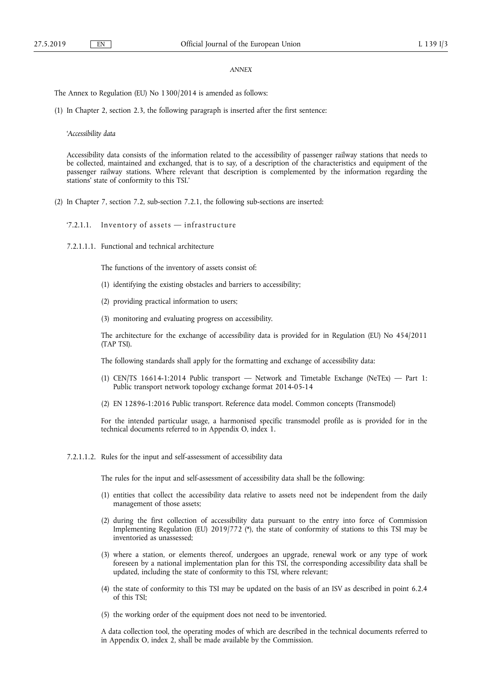### *ANNEX*

The Annex to Regulation (EU) No 1300/2014 is amended as follows:

(1) In Chapter 2, section 2.3, the following paragraph is inserted after the first sentence:

#### '*Accessibility data*

Accessibility data consists of the information related to the accessibility of passenger railway stations that needs to be collected, maintained and exchanged, that is to say, of a description of the characteristics and equipment of the passenger railway stations. Where relevant that description is complemented by the information regarding the stations' state of conformity to this TSI.'

- (2) In Chapter 7, section 7.2, sub-section 7.2.1, the following sub-sections are inserted:
	- '7.2.1.1. Inventory of assets  $-$  infrastructure
	- 7.2.1.1.1. Functional and technical architecture

The functions of the inventory of assets consist of:

- (1) identifying the existing obstacles and barriers to accessibility;
- (2) providing practical information to users;
- (3) monitoring and evaluating progress on accessibility.

The architecture for the exchange of accessibility data is provided for in Regulation (EU) No 454/2011 (TAP TSI).

The following standards shall apply for the formatting and exchange of accessibility data:

- (1) CEN/TS 16614-1:2014 Public transport Network and Timetable Exchange (NeTEx) Part 1: Public transport network topology exchange format 2014-05-14
- (2) EN 12896-1:2016 Public transport. Reference data model. Common concepts (Transmodel)

For the intended particular usage, a harmonised specific transmodel profile as is provided for in the technical documents referred to in Appendix O, index 1.

7.2.1.1.2. Rules for the input and self-assessment of accessibility data

The rules for the input and self-assessment of accessibility data shall be the following:

- (1) entities that collect the accessibility data relative to assets need not be independent from the daily management of those assets;
- (2) during the first collection of accessibility data pursuant to the entry into force of Commission Implementing Regulation (EU) 2019/772 (\*), the state of conformity of stations to this TSI may be inventoried as unassessed;
- (3) where a station, or elements thereof, undergoes an upgrade, renewal work or any type of work foreseen by a national implementation plan for this TSI, the corresponding accessibility data shall be updated, including the state of conformity to this TSI, where relevant;
- (4) the state of conformity to this TSI may be updated on the basis of an ISV as described in point 6.2.4 of this TSI;
- (5) the working order of the equipment does not need to be inventoried.

A data collection tool, the operating modes of which are described in the technical documents referred to in Appendix O, index 2, shall be made available by the Commission.